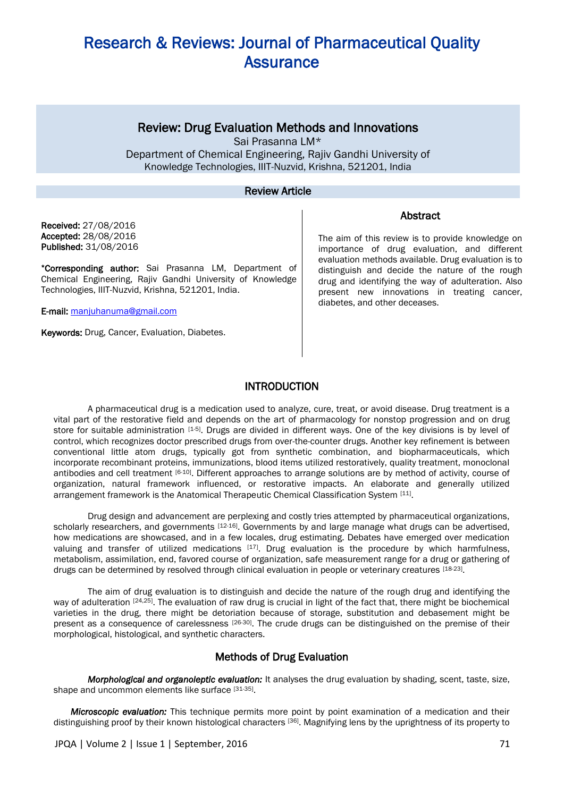### Review: Drug Evaluation Methods and Innovations

Sai Prasanna LM\* Department of Chemical Engineering, Rajiv Gandhi University of Knowledge Technologies, IIIT-Nuzvid, Krishna, 521201, India

#### Review Article

Received: 27/08/2016 Accepted: 28/08/2016 Published: 31/08/2016

\*Corresponding author: Sai Prasanna LM, Department of Chemical Engineering, Rajiv Gandhi University of Knowledge Technologies, IIIT-Nuzvid, Krishna, 521201, India.

E-mail: [manjuhanuma@gmail.com](mailto:manjuhanuma@gmail.com)

Keywords: Drug, Cancer, Evaluation, Diabetes.

The aim of this review is to provide knowledge on importance of drug evaluation, and different evaluation methods available. Drug evaluation is to distinguish and decide the nature of the rough drug and identifying the way of adulteration. Also present new innovations in treating cancer, diabetes, and other deceases.

Abstract

### INTRODUCTION

A pharmaceutical drug is a medication used to analyze, cure, treat, or avoid disease. Drug treatment is a vital part of the restorative field and depends on the art of pharmacology for nonstop progression and on drug store for suitable administration [1-5]. Drugs are divided in different ways. One of the key divisions is by level of control, which recognizes doctor prescribed drugs from over-the-counter drugs. Another key refinement is between conventional little atom drugs, typically got from synthetic combination, and biopharmaceuticals, which incorporate recombinant proteins, immunizations, blood items utilized restoratively, quality treatment, monoclonal antibodies and cell treatment [6-10]. Different approaches to arrange solutions are by method of activity, course of organization, natural framework influenced, or restorative impacts. An elaborate and generally utilized arrangement framework is the Anatomical Therapeutic Chemical Classification System [11].

Drug design and advancement are perplexing and costly tries attempted by pharmaceutical organizations, scholarly researchers, and governments [12-16]. Governments by and large manage what drugs can be advertised, how medications are showcased, and in a few locales, drug estimating. Debates have emerged over medication valuing and transfer of utilized medications [17]. Drug evaluation is the procedure by which harmfulness, metabolism, assimilation, end, favored course of organization, safe measurement range for a drug or gathering of drugs can be determined by resolved through clinical evaluation in people or veterinary creatures [18-23].

The aim of drug evaluation is to distinguish and decide the nature of the rough drug and identifying the way of adulteration [24,25]. The evaluation of raw drug is crucial in light of the fact that, there might be biochemical varieties in the drug, there might be detoriation because of storage, substitution and debasement might be present as a consequence of carelessness [26-30]. The crude drugs can be distinguished on the premise of their morphological, histological, and synthetic characters.

### Methods of Drug Evaluation

*Morphological and organoleptic evaluation:* It analyses the drug evaluation by shading, scent, taste, size, shape and uncommon elements like surface [31-35].

*Microscopic evaluation:* This technique permits more point by point examination of a medication and their distinguishing proof by their known histological characters [36]. Magnifying lens by the uprightness of its property to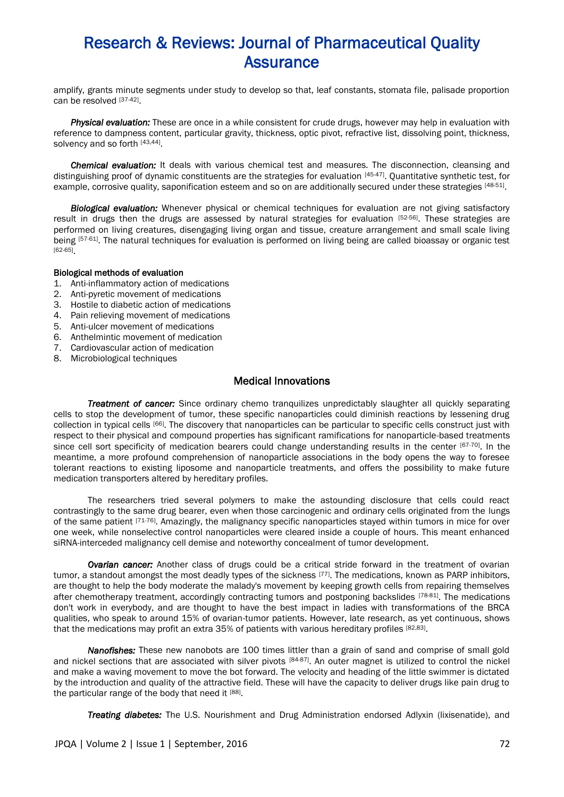amplify, grants minute segments under study to develop so that, leaf constants, stomata file, palisade proportion can be resolved [37-42].

*Physical evaluation:* These are once in a while consistent for crude drugs, however may help in evaluation with reference to dampness content, particular gravity, thickness, optic pivot, refractive list, dissolving point, thickness, solvency and so forth [43,44].

*Chemical evaluation:* It deals with various chemical test and measures. The disconnection, cleansing and distinguishing proof of dynamic constituents are the strategies for evaluation [45-47]. Quantitative synthetic test, for example, corrosive quality, saponification esteem and so on are additionally secured under these strategies [48-51].

*Biological evaluation:* Whenever physical or chemical techniques for evaluation are not giving satisfactory result in drugs then the drugs are assessed by natural strategies for evaluation [52-56]. These strategies are performed on living creatures, disengaging living organ and tissue, creature arrangement and small scale living being [57-61]. The natural techniques for evaluation is performed on living being are called bioassay or organic test [62-65] .

#### Biological methods of evaluation

- 1. Anti-inflammatory action of medications
- 2. Anti-pyretic movement of medications
- 3. Hostile to diabetic action of medications
- 4. Pain relieving movement of medications
- 5. Anti-ulcer movement of medications
- 6. Anthelmintic movement of medication
- 7. Cardiovascular action of medication
- 8. Microbiological techniques

### Medical Innovations

*Treatment of cancer:* Since ordinary chemo tranquilizes unpredictably slaughter all quickly separating cells to stop the development of tumor, these specific nanoparticles could diminish reactions by lessening drug collection in typical cells [66]. The discovery that nanoparticles can be particular to specific cells construct just with respect to their physical and compound properties has significant ramifications for nanoparticle-based treatments since cell sort specificity of medication bearers could change understanding results in the center [67-70]. In the meantime, a more profound comprehension of nanoparticle associations in the body opens the way to foresee tolerant reactions to existing liposome and nanoparticle treatments, and offers the possibility to make future medication transporters altered by hereditary profiles.

The researchers tried several polymers to make the astounding disclosure that cells could react contrastingly to the same drug bearer, even when those carcinogenic and ordinary cells originated from the lungs of the same patient  $[71-76]$ . Amazingly, the malignancy specific nanoparticles stayed within tumors in mice for over one week, while nonselective control nanoparticles were cleared inside a couple of hours. This meant enhanced siRNA-interceded malignancy cell demise and noteworthy concealment of tumor development.

*Ovarian cancer:* Another class of drugs could be a critical stride forward in the treatment of ovarian tumor, a standout amongst the most deadly types of the sickness [77]. The medications, known as PARP inhibitors, are thought to help the body moderate the malady's movement by keeping growth cells from repairing themselves after chemotherapy treatment, accordingly contracting tumors and postponing backslides [78-81]. The medications don't work in everybody, and are thought to have the best impact in ladies with transformations of the BRCA qualities, who speak to around 15% of ovarian-tumor patients. However, late research, as yet continuous, shows that the medications may profit an extra 35% of patients with various hereditary profiles [82,83].

*Nanofishes:* These new nanobots are 100 times littler than a grain of sand and comprise of small gold and nickel sections that are associated with silver pivots [84-87]. An outer magnet is utilized to control the nickel and make a waving movement to move the bot forward. The velocity and heading of the little swimmer is dictated by the introduction and quality of the attractive field. These will have the capacity to deliver drugs like pain drug to the particular range of the body that need it [88].

*Treating diabetes:* The U.S. Nourishment and Drug Administration endorsed Adlyxin (lixisenatide), and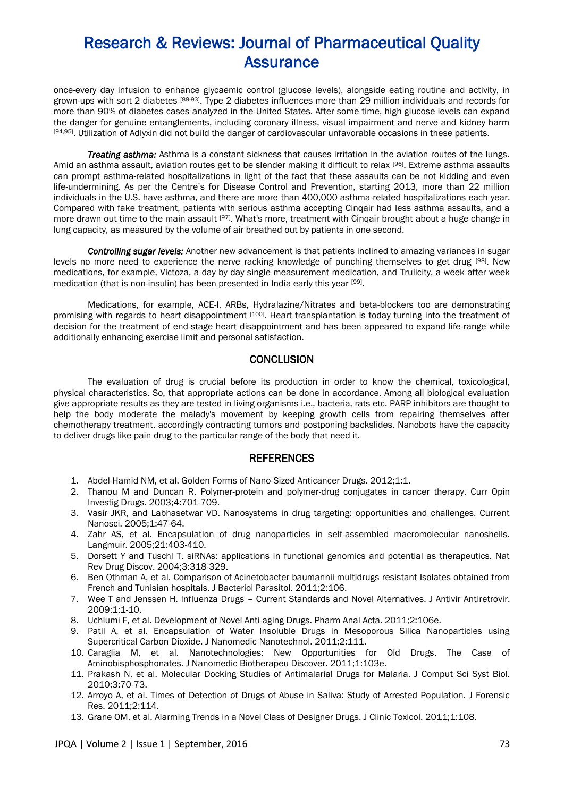once-every day infusion to enhance glycaemic control (glucose levels), alongside eating routine and activity, in grown-ups with sort 2 diabetes [89-93]. Type 2 diabetes influences more than 29 million individuals and records for more than 90% of diabetes cases analyzed in the United States. After some time, high glucose levels can expand the danger for genuine entanglements, including coronary illness, visual impairment and nerve and kidney harm [94,95]. Utilization of Adlyxin did not build the danger of cardiovascular unfavorable occasions in these patients.

*Treating asthma:* Asthma is a constant sickness that causes irritation in the aviation routes of the lungs. Amid an asthma assault, aviation routes get to be slender making it difficult to relax [96]. Extreme asthma assaults can prompt asthma-related hospitalizations in light of the fact that these assaults can be not kidding and even life-undermining. As per the Centre's for Disease Control and Prevention, starting 2013, more than 22 million individuals in the U.S. have asthma, and there are more than 400,000 asthma-related hospitalizations each year. Compared with fake treatment, patients with serious asthma accepting Cinqair had less asthma assaults, and a more drawn out time to the main assault [97]. What's more, treatment with Cinqair brought about a huge change in lung capacity, as measured by the volume of air breathed out by patients in one second.

*Controlling sugar levels:* Another new advancement is that patients inclined to amazing variances in sugar levels no more need to experience the nerve racking knowledge of punching themselves to get drug [98]. New medications, for example, Victoza, a day by day single measurement medication, and Trulicity, a week after week medication (that is non-insulin) has been presented in India early this year [99] .

Medications, for example, ACE-I, ARBs, Hydralazine/Nitrates and beta-blockers too are demonstrating promising with regards to heart disappointment [100]. Heart transplantation is today turning into the treatment of decision for the treatment of end-stage heart disappointment and has been appeared to expand life-range while additionally enhancing exercise limit and personal satisfaction.

#### **CONCLUSION**

The evaluation of drug is crucial before its production in order to know the chemical, toxicological, physical characteristics. So, that appropriate actions can be done in accordance. Among all biological evaluation give appropriate results as they are tested in living organisms i.e., bacteria, rats etc. PARP inhibitors are thought to help the body moderate the malady's movement by keeping growth cells from repairing themselves after chemotherapy treatment, accordingly contracting tumors and postponing backslides. Nanobots have the capacity to deliver drugs like pain drug to the particular range of the body that need it.

#### **REFERENCES**

- 1. Abdel-Hamid NM, et al. Golden Forms of Nano-Sized Anticancer Drugs. 2012;1:1.
- 2. Thanou M and Duncan R. Polymer-protein and polymer-drug conjugates in cancer therapy. Curr Opin Investig Drugs. 2003;4:701-709.
- 3. Vasir JKR, and Labhasetwar VD. Nanosystems in drug targeting: opportunities and challenges. Current Nanosci. 2005;1:47-64.
- 4. Zahr AS, et al. Encapsulation of drug nanoparticles in self-assembled macromolecular nanoshells. Langmuir. 2005;21:403-410.
- 5. Dorsett Y and Tuschl T. siRNAs: applications in functional genomics and potential as therapeutics. Nat Rev Drug Discov. 2004;3:318-329.
- 6. Ben Othman A, et al. Comparison of Acinetobacter baumannii multidrugs resistant Isolates obtained from French and Tunisian hospitals. J Bacteriol Parasitol. 2011;2:106.
- 7. Wee T and Jenssen H. Influenza Drugs Current Standards and Novel Alternatives. J Antivir Antiretrovir. 2009;1:1-10.
- 8. Uchiumi F, et al. Development of Novel Anti-aging Drugs. Pharm Anal Acta. 2011;2:106e.
- 9. Patil A, et al. Encapsulation of Water Insoluble Drugs in Mesoporous Silica Nanoparticles using Supercritical Carbon Dioxide. J Nanomedic Nanotechnol. 2011;2:111.
- 10. Caraglia M, et al. Nanotechnologies: New Opportunities for Old Drugs. The Case of Aminobisphosphonates. J Nanomedic Biotherapeu Discover. 2011;1:103e.
- 11. Prakash N, et al. Molecular Docking Studies of Antimalarial Drugs for Malaria. J Comput Sci Syst Biol. 2010;3:70-73.
- 12. Arroyo A, et al. Times of Detection of Drugs of Abuse in Saliva: Study of Arrested Population. J Forensic Res. 2011;2:114.
- 13. Grane OM, et al. Alarming Trends in a Novel Class of Designer Drugs. J Clinic Toxicol. 2011;1:108.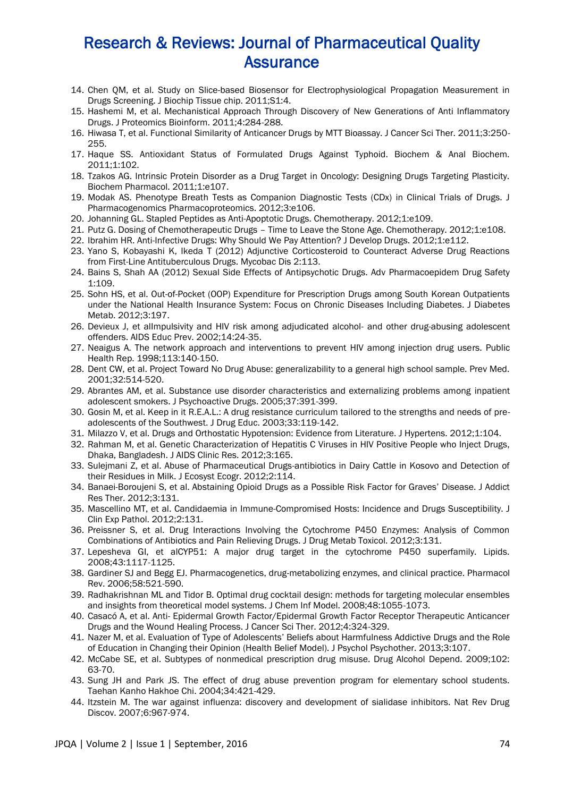- 14. Chen QM, et al. Study on Slice-based Biosensor for Electrophysiological Propagation Measurement in Drugs Screening. J Biochip Tissue chip. 2011;S1:4.
- 15. Hashemi M, et al. Mechanistical Approach Through Discovery of New Generations of Anti Inflammatory Drugs. J Proteomics Bioinform. 2011;4:284-288.
- 16. Hiwasa T, et al. Functional Similarity of Anticancer Drugs by MTT Bioassay. J Cancer Sci Ther. 2011;3:250- 255.
- 17. Haque SS. Antioxidant Status of Formulated Drugs Against Typhoid. Biochem & Anal Biochem. 2011;1:102.
- 18. Tzakos AG. Intrinsic Protein Disorder as a Drug Target in Oncology: Designing Drugs Targeting Plasticity. Biochem Pharmacol. 2011;1:e107.
- 19. Modak AS. Phenotype Breath Tests as Companion Diagnostic Tests (CDx) in Clinical Trials of Drugs. J Pharmacogenomics Pharmacoproteomics. 2012;3:e106.
- 20. Johanning GL. Stapled Peptides as Anti-Apoptotic Drugs. Chemotherapy. 2012;1:e109.
- 21. Putz G. Dosing of Chemotherapeutic Drugs Time to Leave the Stone Age. Chemotherapy. 2012;1:e108.
- 22. Ibrahim HR. Anti-Infective Drugs: Why Should We Pay Attention? J Develop Drugs. 2012;1:e112.
- 23. Yano S, Kobayashi K, Ikeda T (2012) Adjunctive Corticosteroid to Counteract Adverse Drug Reactions from First-Line Antituberculous Drugs. Mycobac Dis 2:113.
- 24. Bains S, Shah AA (2012) Sexual Side Effects of Antipsychotic Drugs. Adv Pharmacoepidem Drug Safety 1:109.
- 25. Sohn HS, et al. Out-of-Pocket (OOP) Expenditure for Prescription Drugs among South Korean Outpatients under the National Health Insurance System: Focus on Chronic Diseases Including Diabetes. J Diabetes Metab. 2012;3:197.
- 26. Devieux J, et alImpulsivity and HIV risk among adjudicated alcohol- and other drug-abusing adolescent offenders. AIDS Educ Prev. 2002;14:24-35.
- 27. Neaigus A. The network approach and interventions to prevent HIV among injection drug users. Public Health Rep. 1998;113:140-150.
- 28. Dent CW, et al. Project Toward No Drug Abuse: generalizability to a general high school sample. Prev Med. 2001;32:514-520.
- 29. Abrantes AM, et al. Substance use disorder characteristics and externalizing problems among inpatient adolescent smokers. J Psychoactive Drugs. 2005;37:391-399.
- 30. Gosin M, et al. Keep in it R.E.A.L.: A drug resistance curriculum tailored to the strengths and needs of preadolescents of the Southwest. J Drug Educ. 2003;33:119-142.
- 31. Milazzo V, et al. Drugs and Orthostatic Hypotension: Evidence from Literature. J Hypertens. 2012;1:104.
- 32. Rahman M, et al. Genetic Characterization of Hepatitis C Viruses in HIV Positive People who Inject Drugs, Dhaka, Bangladesh. J AIDS Clinic Res. 2012;3:165.
- 33. Sulejmani Z, et al. Abuse of Pharmaceutical Drugs-antibiotics in Dairy Cattle in Kosovo and Detection of their Residues in Milk. J Ecosyst Ecogr. 2012;2:114.
- 34. Banaei-Boroujeni S, et al. Abstaining Opioid Drugs as a Possible Risk Factor for Graves' Disease. J Addict Res Ther. 2012;3:131.
- 35. Mascellino MT, et al. Candidaemia in Immune-Compromised Hosts: Incidence and Drugs Susceptibility. J Clin Exp Pathol. 2012;2:131.
- 36. Preissner S, et al. Drug Interactions Involving the Cytochrome P450 Enzymes: Analysis of Common Combinations of Antibiotics and Pain Relieving Drugs. J Drug Metab Toxicol. 2012;3:131.
- 37. Lepesheva GI, et alCYP51: A major drug target in the cytochrome P450 superfamily. Lipids. 2008;43:1117-1125.
- 38. Gardiner SJ and Begg EJ. Pharmacogenetics, drug-metabolizing enzymes, and clinical practice. Pharmacol Rev. 2006;58:521-590.
- 39. Radhakrishnan ML and Tidor B. Optimal drug cocktail design: methods for targeting molecular ensembles and insights from theoretical model systems. J Chem Inf Model. 2008;48:1055-1073.
- 40. Casacó A, et al. Anti- Epidermal Growth Factor/Epidermal Growth Factor Receptor Therapeutic Anticancer Drugs and the Wound Healing Process. J Cancer Sci Ther. 2012;4:324-329.
- 41. Nazer M, et al. Evaluation of Type of Adolescents' Beliefs about Harmfulness Addictive Drugs and the Role of Education in Changing their Opinion (Health Belief Model). J Psychol Psychother. 2013;3:107.
- 42. McCabe SE, et al. Subtypes of nonmedical prescription drug misuse. Drug Alcohol Depend. 2009;102: 63-70.
- 43. Sung JH and Park JS. The effect of drug abuse prevention program for elementary school students. Taehan Kanho Hakhoe Chi. 2004;34:421-429.
- 44. Itzstein M. The war against influenza: discovery and development of sialidase inhibitors. Nat Rev Drug Discov. 2007;6:967-974.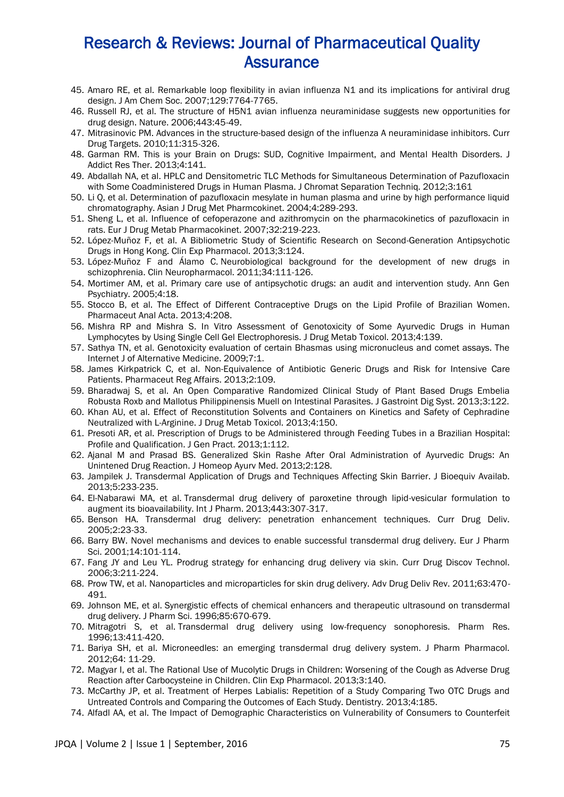- 45. Amaro RE, et al. Remarkable loop flexibility in avian influenza N1 and its implications for antiviral drug design. J Am Chem Soc. 2007;129:7764-7765.
- 46. Russell RJ, et al. The structure of H5N1 avian influenza neuraminidase suggests new opportunities for drug design. Nature. 2006;443:45-49.
- 47. Mitrasinovic PM. Advances in the structure-based design of the influenza A neuraminidase inhibitors. Curr Drug Targets. 2010;11:315-326.
- 48. Garman RM. This is your Brain on Drugs: SUD, Cognitive Impairment, and Mental Health Disorders. J Addict Res Ther. 2013;4:141.
- 49. Abdallah NA, et al. HPLC and Densitometric TLC Methods for Simultaneous Determination of Pazufloxacin with Some Coadministered Drugs in Human Plasma. J Chromat Separation Techniq. 2012;3:161
- 50. Li Q, et al. Determination of pazufloxacin mesylate in human plasma and urine by high performance liquid chromatography. Asian J Drug Met Pharmcokinet. 2004;4:289-293.
- 51. Sheng L, et al. Influence of cefoperazone and azithromycin on the pharmacokinetics of pazufloxacin in rats. Eur J Drug Metab Pharmacokinet. 2007;32:219-223.
- 52. López-Muñoz F, et al. A Bibliometric Study of Scientific Research on Second-Generation Antipsychotic Drugs in Hong Kong. Clin Exp Pharmacol. 2013;3:124.
- 53. López-Muñoz F and Álamo C. Neurobiological background for the development of new drugs in schizophrenia. Clin Neuropharmacol. 2011;34:111-126.
- 54. Mortimer AM, et al. Primary care use of antipsychotic drugs: an audit and intervention study. Ann Gen Psychiatry. 2005;4:18.
- 55. Stocco B, et al. The Effect of Different Contraceptive Drugs on the Lipid Profile of Brazilian Women. Pharmaceut Anal Acta. 2013;4:208.
- 56. Mishra RP and Mishra S. In Vitro Assessment of Genotoxicity of Some Ayurvedic Drugs in Human Lymphocytes by Using Single Cell Gel Electrophoresis. J Drug Metab Toxicol. 2013;4:139.
- 57. Sathya TN, et al. Genotoxicity evaluation of certain Bhasmas using micronucleus and comet assays. The Internet J of Alternative Medicine. 2009;7:1.
- 58. James Kirkpatrick C, et al. Non-Equivalence of Antibiotic Generic Drugs and Risk for Intensive Care Patients. Pharmaceut Reg Affairs. 2013;2:109.
- 59. Bharadwaj S, et al. An Open Comparative Randomized Clinical Study of Plant Based Drugs Embelia Robusta Roxb and Mallotus Philippinensis Muell on Intestinal Parasites. J Gastroint Dig Syst. 2013;3:122.
- 60. Khan AU, et al. Effect of Reconstitution Solvents and Containers on Kinetics and Safety of Cephradine Neutralized with L-Arginine. J Drug Metab Toxicol. 2013;4:150.
- 61. Presoti AR, et al. Prescription of Drugs to be Administered through Feeding Tubes in a Brazilian Hospital: Profile and Qualification. J Gen Pract. 2013;1:112.
- 62. Ajanal M and Prasad BS. Generalized Skin Rashe After Oral Administration of Ayurvedic Drugs: An Unintened Drug Reaction. J Homeop Ayurv Med. 2013;2:128.
- 63. Jampilek J. Transdermal Application of Drugs and Techniques Affecting Skin Barrier. J Bioequiv Availab. 2013;5:233-235.
- 64. El-Nabarawi MA, et al. Transdermal drug delivery of paroxetine through lipid-vesicular formulation to augment its bioavailability. Int J Pharm. 2013;443:307-317.
- 65. Benson HA. Transdermal drug delivery: penetration enhancement techniques. Curr Drug Deliv. 2005;2:23-33.
- 66. Barry BW. Novel mechanisms and devices to enable successful transdermal drug delivery. Eur J Pharm Sci. 2001;14:101-114.
- 67. Fang JY and Leu YL. Prodrug strategy for enhancing drug delivery via skin. Curr Drug Discov Technol. 2006;3:211-224.
- 68. Prow TW, et al. Nanoparticles and microparticles for skin drug delivery. Adv Drug Deliv Rev. 2011;63:470- 491.
- 69. Johnson ME, et al. Synergistic effects of chemical enhancers and therapeutic ultrasound on transdermal drug delivery. J Pharm Sci. 1996;85:670-679.
- 70. Mitragotri S, et al. Transdermal drug delivery using low-frequency sonophoresis. Pharm Res. 1996;13:411-420.
- 71. Bariya SH, et al. Microneedles: an emerging transdermal drug delivery system. J Pharm Pharmacol. 2012;64: 11-29.
- 72. Magyar I, et al. The Rational Use of Mucolytic Drugs in Children: Worsening of the Cough as Adverse Drug Reaction after Carbocysteine in Children. Clin Exp Pharmacol. 2013;3:140.
- 73. McCarthy JP, et al. Treatment of Herpes Labialis: Repetition of a Study Comparing Two OTC Drugs and Untreated Controls and Comparing the Outcomes of Each Study. Dentistry. 2013;4:185.
- 74. Alfadl AA, et al. The Impact of Demographic Characteristics on Vulnerability of Consumers to Counterfeit